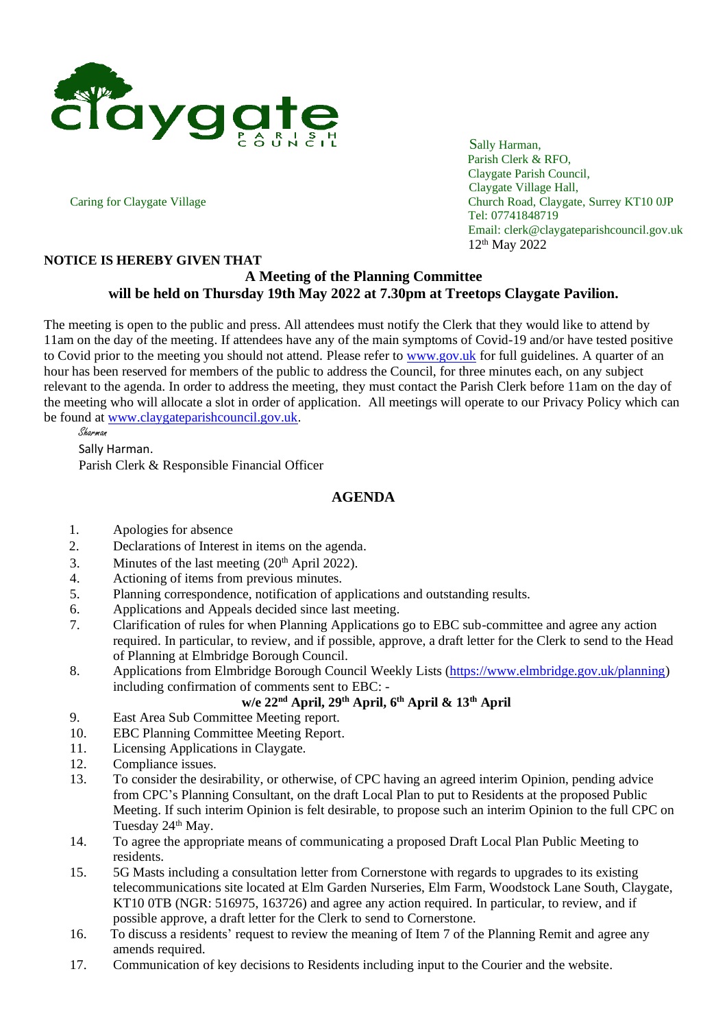

Parish Clerk & RFO, Claygate Parish Council, Claygate Village Hall, Caring for Claygate Village Church Road, Claygate, Surrey KT10 0JP Tel: 07741848719 Email: clerk@claygateparishcouncil.gov.uk 12 th May 2022

## **NOTICE IS HEREBY GIVEN THAT**

## **A Meeting of the Planning Committee will be held on Thursday 19th May 2022 at 7.30pm at Treetops Claygate Pavilion.**

The meeting is open to the public and press. All attendees must notify the Clerk that they would like to attend by 11am on the day of the meeting. If attendees have any of the main symptoms of Covid-19 and/or have tested positive to Covid prior to the meeting you should not attend. Please refer to [www.gov.uk](http://www.gov.uk/) for full guidelines. A quarter of an hour has been reserved for members of the public to address the Council, for three minutes each, on any subject relevant to the agenda. In order to address the meeting, they must contact the Parish Clerk before 11am on the day of the meeting who will allocate a slot in order of application. All meetings will operate to our Privacy Policy which can be found at [www.claygateparishcouncil.gov.uk.](http://www.claygateparishcouncil.gov.uk/)

Sharman Sally Harman. Parish Clerk & Responsible Financial Officer

## **AGENDA**

- 1. Apologies for absence
- 2. Declarations of Interest in items on the agenda.
- 3. Minutes of the last meeting  $(20<sup>th</sup>$  April 2022).
- 4. Actioning of items from previous minutes.
- 5. Planning correspondence, notification of applications and outstanding results.
- 6. Applications and Appeals decided since last meeting.
- 7. Clarification of rules for when Planning Applications go to EBC sub-committee and agree any action required. In particular, to review, and if possible, approve, a draft letter for the Clerk to send to the Head of Planning at Elmbridge Borough Council.
- 8. Applications from Elmbridge Borough Council Weekly Lists [\(https://www.elmbridge.gov.uk/planning\)](https://www.elmbridge.gov.uk/planning) including confirmation of comments sent to EBC: -

## **w/e 22nd April, 29th April, 6th April & 13th April**

- 9. East Area Sub Committee Meeting report.
- 10. EBC Planning Committee Meeting Report.
- 11. Licensing Applications in Claygate.
- 12. Compliance issues.
- 13. To consider the desirability, or otherwise, of CPC having an agreed interim Opinion, pending advice from CPC's Planning Consultant, on the draft Local Plan to put to Residents at the proposed Public Meeting. If such interim Opinion is felt desirable, to propose such an interim Opinion to the full CPC on Tuesday 24<sup>th</sup> May.
- 14. To agree the appropriate means of communicating a proposed Draft Local Plan Public Meeting to residents.
- 15. 5G Masts including a consultation letter from Cornerstone with regards to upgrades to its existing telecommunications site located at Elm Garden Nurseries, Elm Farm, Woodstock Lane South, Claygate, KT10 0TB (NGR: 516975, 163726) and agree any action required. In particular, to review, and if possible approve, a draft letter for the Clerk to send to Cornerstone.
- 16. To discuss a residents' request to review the meaning of Item 7 of the Planning Remit and agree any amends required.
- 17. Communication of key decisions to Residents including input to the Courier and the website.